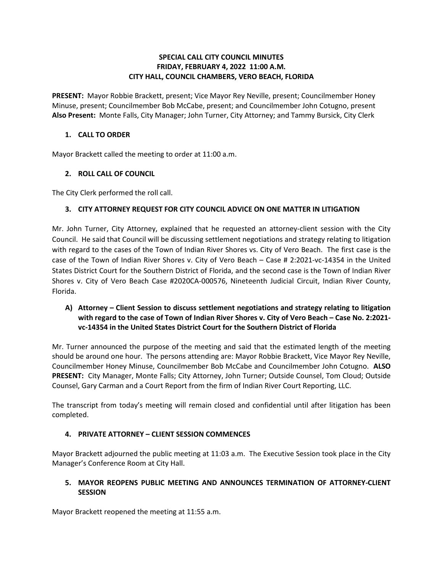#### **SPECIAL CALL CITY COUNCIL MINUTES FRIDAY, FEBRUARY 4, 2022 11:00 A.M. CITY HALL, COUNCIL CHAMBERS, VERO BEACH, FLORIDA**

 **PRESENT:** Mayor Robbie Brackett, present; Vice Mayor Rey Neville, present; Councilmember Honey Minuse, present; Councilmember Bob McCabe, present; and Councilmember John Cotugno, present **Also Present:** Monte Falls, City Manager; John Turner, City Attorney; and Tammy Bursick, City Clerk

#### **1. CALL TO ORDER**

Mayor Brackett called the meeting to order at 11:00 a.m.

# **2. ROLL CALL OF COUNCIL**

The City Clerk performed the roll call.

# **3. CITY ATTORNEY REQUEST FOR CITY COUNCIL ADVICE ON ONE MATTER IN LITIGATION**

 Mr. John Turner, City Attorney, explained that he requested an attorney-client session with the City with regard to the cases of the Town of Indian River Shores vs. City of Vero Beach. The first case is the States District Court for the Southern District of Florida, and the second case is the Town of Indian River Florida. Council. He said that Council will be discussing settlement negotiations and strategy relating to litigation case of the Town of Indian River Shores v. City of Vero Beach – Case # 2:2021-vc-14354 in the United Shores v. City of Vero Beach Case #2020CA-000576, Nineteenth Judicial Circuit, Indian River County,

# **vc-14354 in the United States District Court for the Southern District of Florida A) Attorney – Client Session to discuss settlement negotiations and strategy relating to litigation with regard to the case of Town of Indian River Shores v. City of Vero Beach – Case No. 2:2021-**

 Mr. Turner announced the purpose of the meeting and said that the estimated length of the meeting Councilmember Honey Minuse, Councilmember Bob McCabe and Councilmember John Cotugno. **ALSO PRESENT:** City Manager, Monte Falls; City Attorney, John Turner; Outside Counsel, Tom Cloud; Outside Counsel, Gary Carman and a Court Report from the firm of Indian River Court Reporting, LLC. should be around one hour. The persons attending are: Mayor Robbie Brackett, Vice Mayor Rey Neville,

 completed. The transcript from today's meeting will remain closed and confidential until after litigation has been

# **4. PRIVATE ATTORNEY – CLIENT SESSION COMMENCES**

 Mayor Brackett adjourned the public meeting at 11:03 a.m. The Executive Session took place in the City Manager's Conference Room at City Hall.

#### **5. MAYOR REOPENS PUBLIC MEETING AND ANNOUNCES TERMINATION OF ATTORNEY-CLIENT SESSION**

Mayor Brackett reopened the meeting at 11:55 a.m.